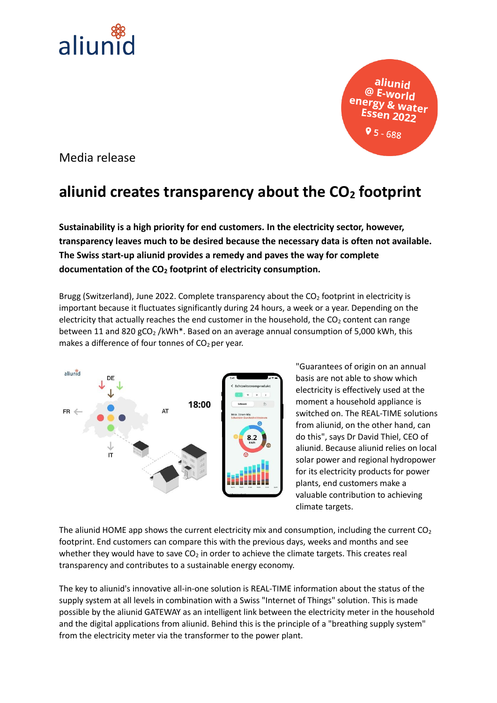

aliunid Water 9 ל - 68

Media release

## **aliunid creates transparency about the CO<sup>2</sup> footprint**

**Sustainability is a high priority for end customers. In the electricity sector, however, transparency leaves much to be desired because the necessary data is often not available. The Swiss start-up aliunid provides a remedy and paves the way for complete documentation of the CO<sup>2</sup> footprint of electricity consumption.**

Brugg (Switzerland), June 2022. Complete transparency about the  $CO<sub>2</sub>$  footprint in electricity is important because it fluctuates significantly during 24 hours, a week or a year. Depending on the electricity that actually reaches the end customer in the household, the  $CO<sub>2</sub>$  content can range between 11 and 820  $gCO<sub>2</sub>$ /kWh<sup>\*</sup>. Based on an average annual consumption of 5,000 kWh, this makes a difference of four tonnes of  $CO<sub>2</sub>$  per year.



"Guarantees of origin on an annual basis are not able to show which electricity is effectively used at the moment a household appliance is switched on. The REAL-TIME solutions from aliunid, on the other hand, can do this", says Dr David Thiel, CEO of aliunid. Because aliunid relies on local solar power and regional hydropower for its electricity products for power plants, end customers make a valuable contribution to achieving climate targets.

The aliunid HOME app shows the current electricity mix and consumption, including the current  $CO<sub>2</sub>$ footprint. End customers can compare this with the previous days, weeks and months and see whether they would have to save  $CO<sub>2</sub>$  in order to achieve the climate targets. This creates real transparency and contributes to a sustainable energy economy.

The key to aliunid's innovative all-in-one solution is REAL-TIME information about the status of the supply system at all levels in combination with a Swiss "Internet of Things" solution. This is made possible by the aliunid GATEWAY as an intelligent link between the electricity meter in the household and the digital applications from aliunid. Behind this is the principle of a "breathing supply system" from the electricity meter via the transformer to the power plant.